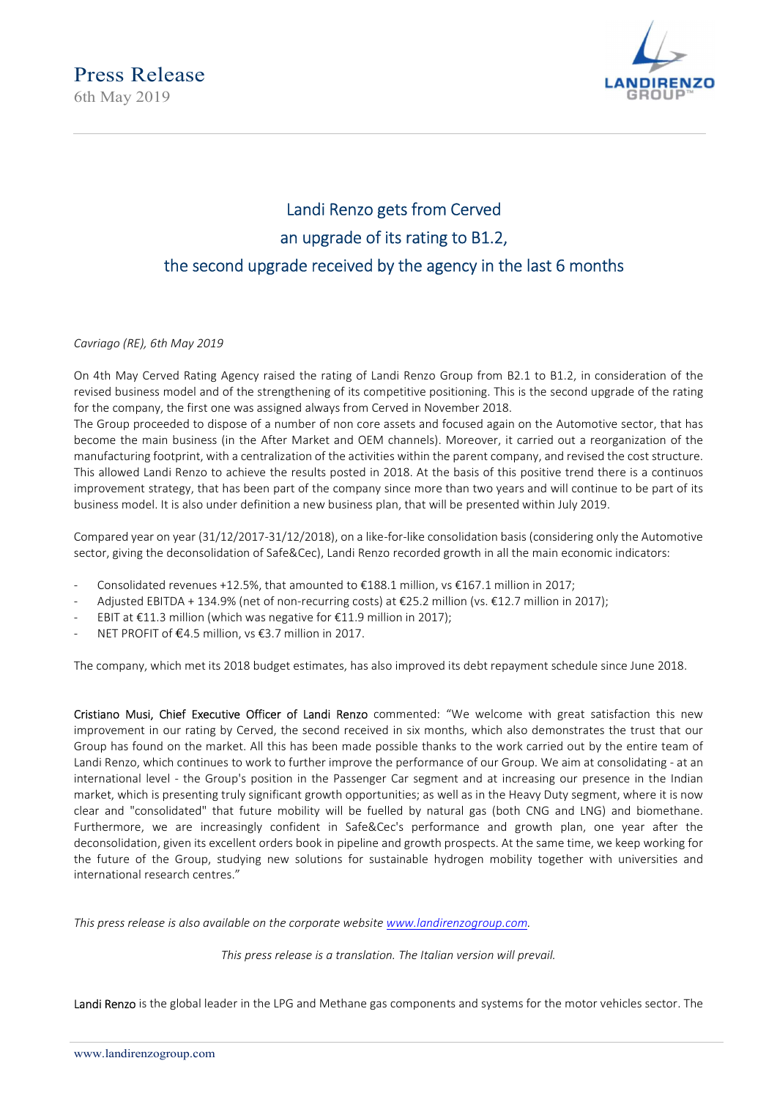6th May 2019



## Landi Renzo gets from Cerved an upgrade of its rating to B1.2, the second upgrade received by the agency in the last 6 months

Cavriago (RE), 6th May 2019

On 4th May Cerved Rating Agency raised the rating of Landi Renzo Group from B2.1 to B1.2, in consideration of the revised business model and of the strengthening of its competitive positioning. This is the second upgrade of the rating for the company, the first one was assigned always from Cerved in November 2018.

The Group proceeded to dispose of a number of non core assets and focused again on the Automotive sector, that has become the main business (in the After Market and OEM channels). Moreover, it carried out a reorganization of the manufacturing footprint, with a centralization of the activities within the parent company, and revised the cost structure. This allowed Landi Renzo to achieve the results posted in 2018. At the basis of this positive trend there is a continuos improvement strategy, that has been part of the company since more than two years and will continue to be part of its business model. It is also under definition a new business plan, that will be presented within July 2019.

Compared year on year (31/12/2017-31/12/2018), on a like-for-like consolidation basis (considering only the Automotive sector, giving the deconsolidation of Safe&Cec), Landi Renzo recorded growth in all the main economic indicators:

- Consolidated revenues +12.5%, that amounted to  $£188.1$  million, vs  $£167.1$  million in 2017;
- Adjusted EBITDA + 134.9% (net of non-recurring costs) at €25.2 million (vs. €12.7 million in 2017);
- EBIT at €11.3 million (which was negative for €11.9 million in 2017);
- NET PROFIT of €4.5 million, vs €3.7 million in 2017.

The company, which met its 2018 budget estimates, has also improved its debt repayment schedule since June 2018.

Cristiano Musi, Chief Executive Officer of Landi Renzo commented: "We welcome with great satisfaction this new improvement in our rating by Cerved, the second received in six months, which also demonstrates the trust that our Group has found on the market. All this has been made possible thanks to the work carried out by the entire team of Landi Renzo, which continues to work to further improve the performance of our Group. We aim at consolidating - at an international level - the Group's position in the Passenger Car segment and at increasing our presence in the Indian market, which is presenting truly significant growth opportunities; as well as in the Heavy Duty segment, where it is now clear and "consolidated" that future mobility will be fuelled by natural gas (both CNG and LNG) and biomethane. Furthermore, we are increasingly confident in Safe&Cec's performance and growth plan, one year after the deconsolidation, given its excellent orders book in pipeline and growth prospects. At the same time, we keep working for the future of the Group, studying new solutions for sustainable hydrogen mobility together with universities and international research centres."

This press release is also available on the corporate website www.landirenzogroup.com.

This press release is a translation. The Italian version will prevail.

Landi Renzo is the global leader in the LPG and Methane gas components and systems for the motor vehicles sector. The